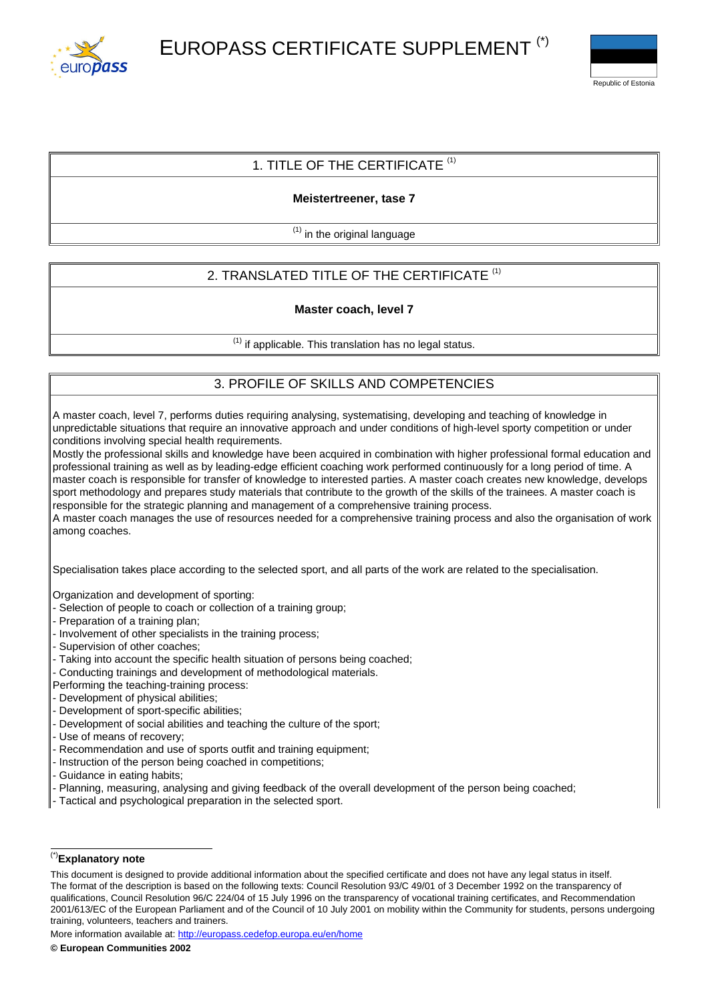



## 1. TITLE OF THE CERTIFICATE  $(1)$

## **Meistertreener, tase 7**

 $<sup>(1)</sup>$  in the original language</sup>

# 2. TRANSLATED TITLE OF THE CERTIFICATE<sup>(1)</sup>

### **Master coach, level 7**

 $<sup>(1)</sup>$  if applicable. This translation has no legal status.</sup>

## 3. PROFILE OF SKILLS AND COMPETENCIES

A master coach, level 7, performs duties requiring analysing, systematising, developing and teaching of knowledge in unpredictable situations that require an innovative approach and under conditions of high-level sporty competition or under conditions involving special health requirements.

Mostly the professional skills and knowledge have been acquired in combination with higher professional formal education and professional training as well as by leading-edge efficient coaching work performed continuously for a long period of time. A master coach is responsible for transfer of knowledge to interested parties. A master coach creates new knowledge, develops sport methodology and prepares study materials that contribute to the growth of the skills of the trainees. A master coach is responsible for the strategic planning and management of a comprehensive training process.

A master coach manages the use of resources needed for a comprehensive training process and also the organisation of work among coaches.

Specialisation takes place according to the selected sport, and all parts of the work are related to the specialisation.

Organization and development of sporting:

- Selection of people to coach or collection of a training group;
- Preparation of a training plan;
- Involvement of other specialists in the training process;
- Supervision of other coaches;
- Taking into account the specific health situation of persons being coached;
- Conducting trainings and development of methodological materials.
- Performing the teaching-training process:
- Development of physical abilities;
- Development of sport-specific abilities;
- Development of social abilities and teaching the culture of the sport;
- Use of means of recovery;
- Recommendation and use of sports outfit and training equipment;
- Instruction of the person being coached in competitions;
- Guidance in eating habits;
- Planning, measuring, analysing and giving feedback of the overall development of the person being coached;
- Tactical and psychological preparation in the selected sport.

## (\*)**Explanatory note**

More information available at: <http://europass.cedefop.europa.eu/en/home>

This document is designed to provide additional information about the specified certificate and does not have any legal status in itself. The format of the description is based on the following texts: Council Resolution 93/C 49/01 of 3 December 1992 on the transparency of qualifications, Council Resolution 96/C 224/04 of 15 July 1996 on the transparency of vocational training certificates, and Recommendation 2001/613/EC of the European Parliament and of the Council of 10 July 2001 on mobility within the Community for students, persons undergoing training, volunteers, teachers and trainers.